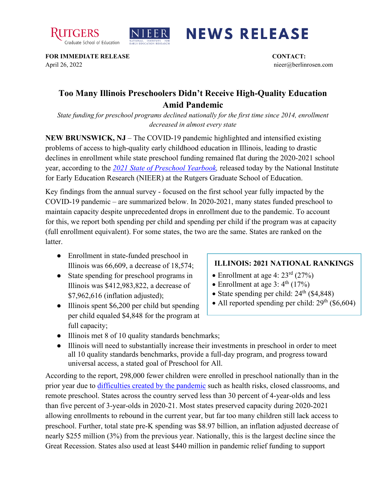



## **NEWS RELEASE**

**FOR IMMEDIATE RELEASE CONTACT:**  April 26, 2022 nieer@berlinrosen.com

## **Too Many Illinois Preschoolers Didn't Receive High-Quality Education Amid Pandemic**

*State funding for preschool programs declined nationally for the first time since 2014, enrollment decreased in almost every state*

**NEW BRUNSWICK, NJ** – The COVID-19 pandemic highlighted and intensified existing problems of access to high-quality early childhood education in Illinois, leading to drastic declines in enrollment while state preschool funding remained flat during the 2020-2021 school year, according to the *[2021 State of Preschool Yearbook,](https://nieer.org/state-preschool-yearbooks-yearbook2021)* released today by the National Institute for Early Education Research (NIEER) at the Rutgers Graduate School of Education.

Key findings from the annual survey - focused on the first school year fully impacted by the COVID-19 pandemic – are summarized below. In 2020-2021, many states funded preschool to maintain capacity despite unprecedented drops in enrollment due to the pandemic. To account for this, we report both spending per child and spending per child if the program was at capacity (full enrollment equivalent). For some states, the two are the same. States are ranked on the **latter** 

- Enrollment in state-funded preschool in Illinois was 66,609, a decrease of 18,574;
- State spending for preschool programs in Illinois was \$412,983,822, a decrease of \$7,962,616 (inflation adjusted);
- Illinois spent \$6,200 per child but spending per child equaled \$4,848 for the program at full capacity;

## **ILLINOIS: 2021 NATIONAL RANKINGS**

- Enrollment at age 4:  $23<sup>rd</sup>$  (27%)
- Enrollment at age  $3: 4<sup>th</sup> (17%)$
- State spending per child:  $24<sup>th</sup>$  (\$4,848)
- All reported spending per child:  $29<sup>th</sup>$  (\$6,604)
- Illinois met 8 of 10 quality standards benchmarks;
- Illinois will need to substantially increase their investments in preschool in order to meet all 10 quality standards benchmarks, provide a full-day program, and progress toward universal access, a stated goal of Preschool for All.

According to the report, 298,000 fewer children were enrolled in preschool nationally than in the prior year due to [difficulties created by the pandemic](https://nieer.org/wp-content/uploads/2021/02/NIEER_Seven_Impacts_of_the_Pandemic_on_Young_Children_and_their_Parents.pdf) such as health risks, closed classrooms, and remote preschool. States across the country served less than 30 percent of 4-year-olds and less than five percent of 3-year-olds in 2020-21. Most states preserved capacity during 2020-2021 allowing enrollments to rebound in the current year, but far too many children still lack access to preschool. Further, total state pre-K spending was \$8.97 billion, an inflation adjusted decrease of nearly \$255 million (3%) from the previous year. Nationally, this is the largest decline since the Great Recession. States also used at least \$440 million in pandemic relief funding to support